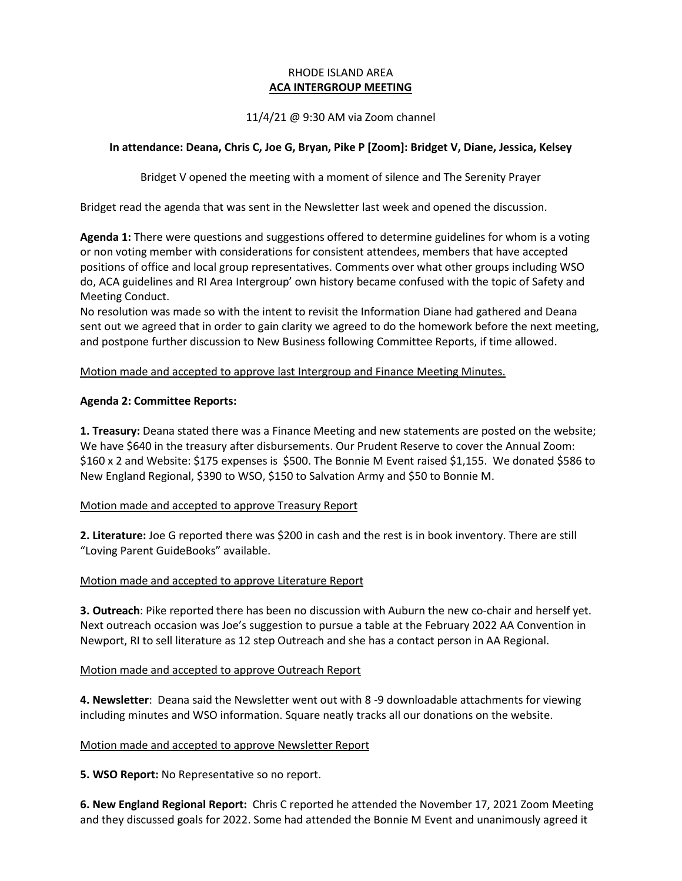# RHODE ISLAND AREA **ACA INTERGROUP MEETING**

# 11/4/21 @ 9:30 AM via Zoom channel

### **In attendance: Deana, Chris C, Joe G, Bryan, Pike P [Zoom]: Bridget V, Diane, Jessica, Kelsey**

Bridget V opened the meeting with a moment of silence and The Serenity Prayer

Bridget read the agenda that was sent in the Newsletter last week and opened the discussion.

**Agenda 1:** There were questions and suggestions offered to determine guidelines for whom is a voting or non voting member with considerations for consistent attendees, members that have accepted positions of office and local group representatives. Comments over what other groups including WSO do, ACA guidelines and RI Area Intergroup' own history became confused with the topic of Safety and Meeting Conduct.

No resolution was made so with the intent to revisit the Information Diane had gathered and Deana sent out we agreed that in order to gain clarity we agreed to do the homework before the next meeting, and postpone further discussion to New Business following Committee Reports, if time allowed.

Motion made and accepted to approve last Intergroup and Finance Meeting Minutes.

### **Agenda 2: Committee Reports:**

**1. Treasury:** Deana stated there was a Finance Meeting and new statements are posted on the website; We have \$640 in the treasury after disbursements. Our Prudent Reserve to cover the Annual Zoom: \$160 x 2 and Website: \$175 expenses is \$500. The Bonnie M Event raised \$1,155. We donated \$586 to New England Regional, \$390 to WSO, \$150 to Salvation Army and \$50 to Bonnie M.

#### Motion made and accepted to approve Treasury Report

**2. Literature:** Joe G reported there was \$200 in cash and the rest is in book inventory. There are still "Loving Parent GuideBooks" available.

# Motion made and accepted to approve Literature Report

**3. Outreach**: Pike reported there has been no discussion with Auburn the new co-chair and herself yet. Next outreach occasion was Joe's suggestion to pursue a table at the February 2022 AA Convention in Newport, RI to sell literature as 12 step Outreach and she has a contact person in AA Regional.

#### Motion made and accepted to approve Outreach Report

**4. Newsletter**: Deana said the Newsletter went out with 8 -9 downloadable attachments for viewing including minutes and WSO information. Square neatly tracks all our donations on the website.

#### Motion made and accepted to approve Newsletter Report

**5. WSO Report:** No Representative so no report.

**6. New England Regional Report:** Chris C reported he attended the November 17, 2021 Zoom Meeting and they discussed goals for 2022. Some had attended the Bonnie M Event and unanimously agreed it